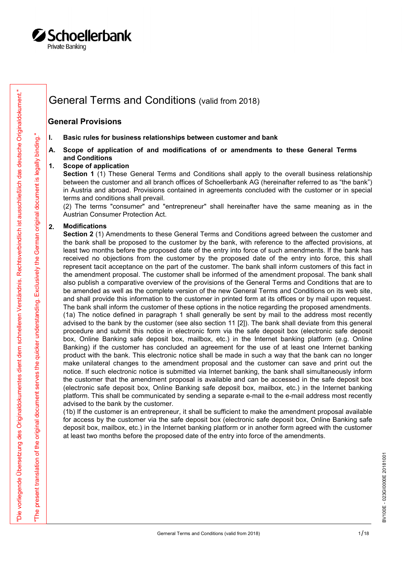

## General Terms and Conditions (valid from 2018)

### General Provisions

- 
- **Schoellerbank**<br>
Finale Banking<br>
General Terms and Conditions (valid from 2018)<br>
1. Basic rules for business relationships between customer and bank<br>
A. Scope of application of and modifications of or amendments to these G and Conditions

**Schoellerbank**<br>
Arivate Banking<br>
A. General Terms and Conditions (valid from 2018)<br>
A. Basic rules for business relationships between customer and bank<br>
A. Scope of application of and modifications of or amendments to the **Schoellerbank**<br>
Seneral Terms and Conditions (valid from 2018)<br>
General Provisions<br>
I. Basic rules for business relationships between customer and bank<br>
A. Scope of application of and modifications of or amendments to<br>
an Section 1 (1) These General Terms and Conditions shall apply to the overall business relationship between the customer and all branch offices of Schoellerbank AG (hereinafter referred to as "the bank") in Austria and abroad. Provisions contained in agreements concluded with the customer or in special terms and conditions shall prevail.

(2) The terms "consumer" and "entrepreneur" shall hereinafter have the same meaning as in the Austrian Consumer Protection Act.

### 2. Modifications

Ceneral Terms and Conditions (valid from 2018)<br>
General Provisions<br>
(General Provisions and Conditions (valid from 2018)<br>
(General Provisions conditions of an intermediate of or anisometric to these General Terms<br>  $\frac{1}{2$ Section 2 (1) Amendments to these General Terms and Conditions agreed between the customer and the bank shall be proposed to the customer by the bank, with reference to the affected provisions, at least two months before the proposed date of the entry into force of such amendments. If the bank has received no objections from the customer by the proposed date of the entry into force, this shall represent tacit acceptance on the part of the customer. The bank shall inform customers of this fact in the amendment proposal. The customer shall be informed of the amendment proposal. The bank shall also publish a comparative overview of the provisions of the General Terms and Conditions that are to be amended as well as the complete version of the new General Terms and Conditions on its web site, and shall provide this information to the customer in printed form at its offices or by mail upon request. The bank shall inform the customer of these options in the notice regarding the proposed amendments. (1a) The notice defined in paragraph 1 shall generally be sent by mail to the address most recently advised to the bank by the customer (see also section 11 [2]). The bank shall deviate from this general procedure and submit this notice in electronic form via the safe deposit box (electronic safe deposit box, Online Banking safe deposit box, mailbox, etc.) in the Internet banking platform (e.g. Online Banking) if the customer has concluded an agreement for the use of at least one Internet banking product with the bank. This electronic notice shall be made in such a way that the bank can no longer make unilateral changes to the amendment proposal and the customer can save and print out the notice. If such electronic notice is submitted via Internet banking, the bank shall simultaneously inform the customer that the amendment proposal is available and can be accessed in the safe deposit box (electronic safe deposit box, Online Banking safe deposit box, mailbox, etc.) in the Internet banking platform. This shall be communicated by sending a separate e-mail to the e-mail address most recently advised to the bank by the customer.

(1b) If the customer is an entrepreneur, it shall be sufficient to make the amendment proposal available for access by the customer via the safe deposit box (electronic safe deposit box, Online Banking safe deposit box, mailbox, etc.) in the Internet banking platform or in another form agreed with the customer at least two months before the proposed date of the entry into force of the amendments.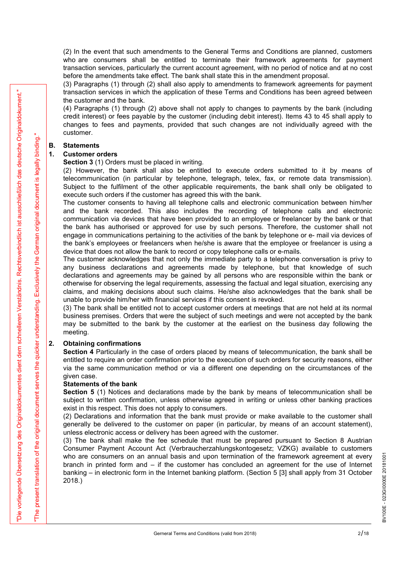(2) In the event that such amendments to the General Terms and Conditions are planned, customers who are consumers shall be entitled to terminate their framework agreements for payment transaction services, particularly the current account agreement, with no period of notice and at no cost before the amendments take effect. The bank shall state this in the amendment proposal.

(3) Paragraphs (1) through (2) shall also apply to amendments to framework agreements for payment transaction services in which the application of these Terms and Conditions has been agreed between the customer and the bank.

(4) Paragraphs (1) through (2) above shall not apply to changes to payments by the bank (including credit interest) or fees payable by the customer (including debit interest). Items 43 to 45 shall apply to changes to fees and payments, provided that such changes are not individually agreed with the customer. (2) In the event that such amendments to the General Terms and Condinum of the consumers shall be entitled to terminate their framewort transcation services, paticularly the current account agreement, with no before the a (2) In the event that such amendments to the General Terms and Cond<br>
who are consumers shall be entitled to terminate their frameworth<br>
transaction services, particularly the current account agreement, with no<br>
before the

Section 3 (1) Orders must be placed in writing.

(2) However, the bank shall also be entitled to execute orders submitted to it by means of telecommunication (in particular by telephone, telegraph, telex, fax, or remote data transmission). Subject to the fulfilment of the other applicable requirements, the bank shall only be obligated to execute such orders if the customer has agreed this with the bank.

Facebook and wholes the spheres the collection of the facebook is a sphere and Container and Container and Container and Container and Container and Container and Container and Container and Container and Container and Co The customer consents to having all telephone calls and electronic communication between him/her and the bank recorded. This also includes the recording of telephone calls and electronic communication via devices that have been provided to an employee or freelancer by the bank or that the bank has authorised or approved for use by such persons. Therefore, the customer shall not engage in communications pertaining to the activities of the bank by telephone or e- mail via devices of the bank's employees or freelancers when he/she is aware that the employee or freelancer is using a device that does not allow the bank to record or copy telephone calls or e-mails. (2) However, the bank shall also be entitied to execute orders stelecommunication (in particular by telephone, telegraph, telex, fax, oley dephone. Nellephone is Subject to the fulfilment of the other applicable requireme

The customer acknowledges that not only the immediate party to a telephone conversation is privy to any business declarations and agreements made by telephone, but that knowledge of such declarations and agreements may be gained by all persons who are responsible within the bank or otherwise for observing the legal requirements, assessing the factual and legal situation, exercising any claims, and making decisions about such claims. He/she also acknowledges that the bank shall be unable to provide him/her with financial services if this consent is revoked.

(3) The bank shall be entitled not to accept customer orders at meetings that are not held at its normal business premises. Orders that were the subject of such meetings and were not accepted by the bank may be submitted to the bank by the customer at the earliest on the business day following the meeting.

Section 4 Particularly in the case of orders placed by means of telecommunication, the bank shall be entitled to require an order confirmation prior to the execution of such orders for security reasons, either via the same communication method or via a different one depending on the circumstances of the given case.

### Statements of the bank

Section 5 (1) Notices and declarations made by the bank by means of telecommunication shall be subject to written confirmation, unless otherwise agreed in writing or unless other banking practices exist in this respect. This does not apply to consumers.

(2) Declarations and information that the bank must provide or make available to the customer shall generally be delivered to the customer on paper (in particular, by means of an account statement), unless electronic access or delivery has been agreed with the customer.

(3) The bank shall make the fee schedule that must be prepared pursuant to Section 8 Austrian Consumer Payment Account Act (Verbraucherzahlungskontogesetz; VZKG) available to customers who are consumers on an annual basis and upon termination of the framework agreement at every<br>branch in printed form and – if the customer has concluded an agreement for the use of Internet<br>banking – in electronic form in branch in printed form and – if the customer has concluded an agreement for the use of Internet banking – in electronic form in the Internet banking platform. (Section 5 [3] shall apply from 31 October 2018.)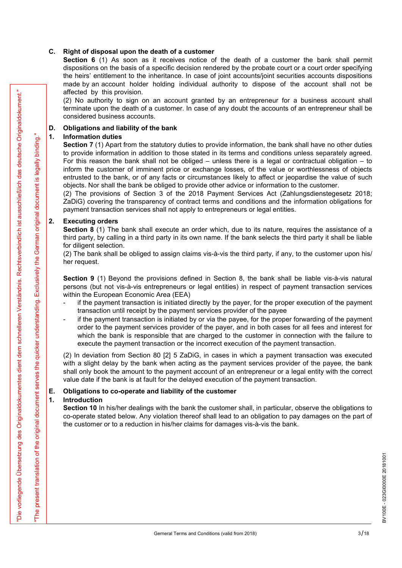**C.** Right of disposal upon the death of a customer<br>Section  $6$  (1) As soon as it receives notice of the death of a cust<br>dispositions on the basis of a specific decision rendered by the probate co<br>the heirs' entitlement t Section 6 (1) As soon as it receives notice of the death of a customer the bank shall permit dispositions on the basis of a specific decision rendered by the probate court or a court order specifying the heirs' entitlement to the inheritance. In case of joint accounts/joint securities accounts dispositions made by an account holder holding individual authority to dispose of the account shall not be affected by this provision. **C.** Right of disposal upon the death of a customer<br>
Section 6 (1) As soon as it receives notice of the death of a customer<br>
dispositions on the banks of a specific decision rendered by the probate count<br>
the heirs' entit

(2) No authority to sign on an account granted by an entrepreneur for a business account shall terminate upon the death of a customer. In case of any doubt the accounts of an entrepreneur shall be considered business accounts.

**Example 12**<br> **Example 12**<br> **Example 2008 Control on an absolute manual by an environment on a bottom space of the control on the space of the control of the bottom space of the control of the bottom space of the control C.** Right of disposal upon the death of a customer<br> **Section 6** (1) As soon as it receives notice of the death of a cust<br>
dispositions on the basis of a specific decision rendered by the probate co<br>
the heirs' entitlemen Section 7 (1) Apart from the statutory duties to provide information, the bank shall have no other duties to provide information in addition to those stated in its terms and conditions unless separately agreed. For this reason the bank shall not be obliged – unless there is a legal or contractual obligation – to inform the customer of imminent price or exchange losses, of the value or worthlessness of objects entrusted to the bank, or of any facts or circumstances likely to affect or jeopardise the value of such objects. Nor shall the bank be obliged to provide other advice or information to the customer. **C.** Right of disposal upon the death of a customer<br>
Section 6 (1) As soon as it receives notice of the death of a cust<br>
dispositions on the basis of a specific decision rendered by the probate co<br>
dispositions on the bas **Obligations and liability of the bank**<br> **Chromation and liability of the bank** the statutory duties to provide information, the bank shall have no other duties<br> **Section 7** (1) Apart from the statutory duties to provide i Section 7 (1) Apart from the statutory duites to provide information, the bank shall have no other duites<br>for provide inform the bank shall not be obliged – unless there is a legal or contractual obligation – to<br>For this r

(2) The provisions of Section 3 of the 2018 Payment Services Act (Zahlungsdienstegesetz 2018; ZaDiG) covering the transparency of contract terms and conditions and the information obligations for payment transaction services shall not apply to entrepreneurs or legal entities.

Section 8 (1) The bank shall execute an order which, due to its nature, requires the assistance of a third party, by calling in a third party in its own name. If the bank selects the third party it shall be liable for diligent selection.

(2) The bank shall be obliged to assign claims vis-à-vis the third party, if any, to the customer upon his/ her request.

Section 9 (1) Beyond the provisions defined in Section 8, the bank shall be liable vis-à-vis natural persons (but not vis-à-vis entrepreneurs or legal entities) in respect of payment transaction services within the European Economic Area (EEA)

- transaction until receipt by the payment services provider of the payee
- order to the payment services provider of the payer, and in both cases for all fees and interest for which the bank is responsible that are charged to the customer in connection with the failure to execute the payment transaction or the incorrect execution of the payment transaction. 2. Executing orders<br>
Section 8 (1) The bank shall execute an order which, due to its nature, requires the<br>
third party, by calling in a third party in its own name. If the bank selects the third part<br>
for diligent selecti Section 8 (1) The bank shall execute an order which, due to its nature, thind party, by calling in a third party in its own name. If the bank selects that it party for diligent selection. (2) The bank shall be obliged to a

(2) In deviation from Section 80 [2] 5 ZaDiG, in cases in which a payment transaction was executed with a slight delay by the bank when acting as the payment services provider of the payee, the bank shall only book the amount to the payment account of an entrepreneur or a legal entity with the correct value date if the bank is at fault for the delayed execution of the payment transaction.

Section 10 In his/her dealings with the bank the customer shall, in particular, observe the obligations to co-operate stated below. Any violation thereof shall lead to an obligation to pay damages on the part of the customer or to a reduction in his/her claims for damages vis-à-vis the bank.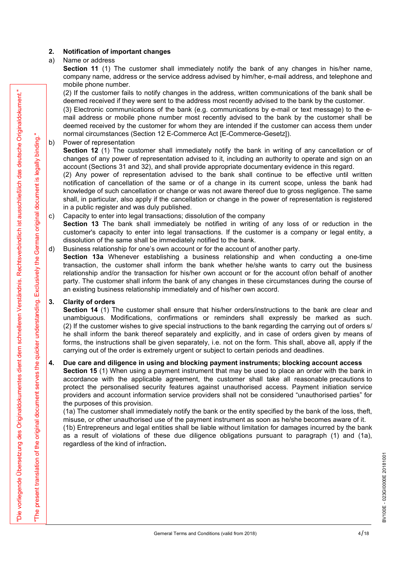2. **Notification of important changes**<br>
a) Name or address<br> **Section 11** (1) The customer shall immediately notify the bank of any<br>
company name, address or the service address advised by him/her, e-mail a<br>
mobile phone nu 2. **Notification of important changes**<br>a) Name or address<br>**Section 11** (1) The customer shall immediately notify the bank of an<br>company name, address or the service address advised by him/her, e-ma<br>mobile phone number.<br>(2) Section 11 (1) The customer shall immediately notify the bank of any changes in his/her name. company name, address or the service address advised by him/her, e-mail address, and telephone and mobile phone number.

(2) If the customer fails to notify changes in the address, written communications of the bank shall be deemed received if they were sent to the address most recently advised to the bank by the customer.

(3) Electronic communications of the bank (e.g. communications by e-mail or text message) to the email address or mobile phone number most recently advised to the bank by the customer shall be deemed received by the customer for whom they are intended if the customer can access them under normal circumstances (Section 12 E-Commerce Act [E-Commerce-Gesetz]). 2. **Notification of important changes**<br>
a) Name or address<br>
Section 11 (1) The customer shall immediately notify the bank of an<br>
company name, address or the service address advised by him/her, e-ma<br>
mobile phone number.<br>

Section 12 (1) The customer shall immediately notify the bank in writing of any cancellation or of changes of any power of representation advised to it, including an authority to operate and sign on an account (Sections 31 and 32), and shall provide appropriate documentary evidence in this regard.

(2) Any power of representation advised to the bank shall continue to be effective until written notification of cancellation of the same or of a change in its current scope, unless the bank had knowledge of such cancellation or change or was not aware thereof due to gross negligence. The same shall, in particular, also apply if the cancellation or change in the power of representation is registered in a public register and was duly published. **2.** Notification of important changes<br>
a) Name or address<br> **Section 11** (1) The customer shall immediately notify the bank of any changes in<br> **Section 11** (1) The customer shall immediately notify the bank of any changes

Section 13 The bank shall immediately be notified in writing of any loss of or reduction in the customer's capacity to enter into legal transactions. If the customer is a company or legal entity, a dissolution of the same shall be immediately notified to the bank.

### d) Business relationship for one's own account or for the account of another party.

Section 13a Whenever establishing a business relationship and when conducting a one-time transaction, the customer shall inform the bank whether he/she wants to carry out the business relationship and/or the transaction for his/her own account or for the account of/on behalf of another party. The customer shall inform the bank of any changes in these circumstances during the course of an existing business relationship immediately and of his/her own accord. deemed received by the customer for whom they are intended in the cust<br>commula circumstances (Section 12 E-Commerce Act [E-Commerce-Gesetz<br>b) Power of representation<br>Section 12 (1) The customer shall immediately notify the

2. (a) The matter as the normal pharmachine and the same stationary within extremellations of the basic stationary and the same of the same of the same of the same of the same of the same of the same of the same of the sa Section 14 (1) The customer shall ensure that his/her orders/instructions to the bank are clear and unambiguous. Modifications, confirmations or reminders shall expressly be marked as such. (2) If the customer wishes to give special instructions to the bank regarding the carrying out of orders s/ he shall inform the bank thereof separately and explicitly, and in case of orders given by means of forms, the instructions shall be given separately, i.e. not on the form. This shall, above all, apply if the carrying out of the order is extremely urgent or subject to certain periods and deadlines. knowledge of such caneellation or change or was not aware thereof due to gross negligence. The same<br>shall, in particular, also apply if the cancellation or change in the power of representation is registered<br>in a public re

Section 15 (1) When using a payment instrument that may be used to place an order with the bank in accordance with the applicable agreement, the customer shall take all reasonable precautions to protect the personalised security features against unauthorised access. Payment initiation service providers and account information service providers shall not be considered "unauthorised parties" for the purposes of this provision.

(1a) The customer shall immediately notify the bank or the entity specified by the bank of the loss, theft, misuse, or other unauthorised use of the payment instrument as soon as he/she becomes aware of it.

(1b) Entrepreneurs and legal entities shall be liable without limitation for damages incurred by the bank as a result of violations of these due diligence obligations pursuant to paragraph (1) and (1a), regardless of the kind of infraction.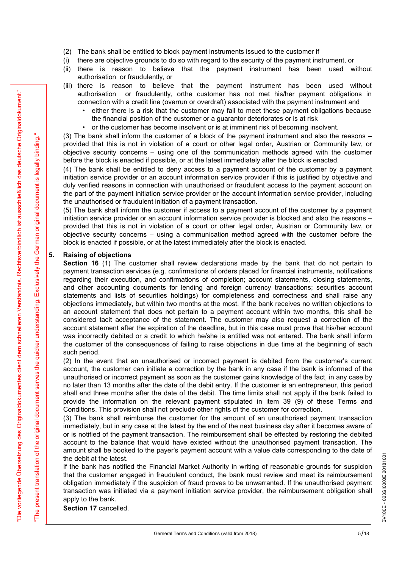- 
- 
- (2) The bank shall be entitled to block payment instruments issued to the customer if<br>
(i) there are objective grounds to do so with regard to the security of the payment instrument, or<br>
(ii) there is reason to believe tha authorisation or fraudulently, or
- (2) The bank shall be entitled to block payment instruments issued to the customer if<br>
(i) there are objective grounds to do so with regard to the security of the payment instrument, or<br>
(ii) there is reason to believe tha (2) The bank shall be entitled to block payment instruments issued to the customer if<br>
(i) there are objective grounds to do so with regard to the security of the payment instrument, or<br>
(ii) there is reason to believe th (2) The bank shall be entitled to block payment instruments issued to the customer if<br>
(i) there are objective grounds to do so with regard to the security of the payment instrument, or<br>
(ii) there is reason to believe th authorisation or fraudulently, orthe customer has not met his/her payment obligations in connection with a credit line (overrun or overdraft) associated with the payment instrument and
	- either there is a risk that the customer may fail to meet these payment obligations because the financial position of the customer or a guarantor deteriorates or is at risk
	- or the customer has become insolvent or is at imminent risk of becoming insolvent.

(3) The bank shall inform the customer of a block of the payment instrument and also the reasons – provided that this is not in violation of a court or other legal order, Austrian or Community law, or objective security concerns – using one of the communication methods agreed with the customer before the block is enacted if possible, or at the latest immediately after the block is enacted.

(4) The bank shall be entitled to deny access to a payment account of the customer by a payment initiation service provider or an account information service provider if this is justified by objective and duly verified reasons in connection with unauthorised or fraudulent access to the payment account on the part of the payment initiation service provider or the account information service provider, including the unauthorised or fraudulent initiation of a payment transaction. The is reason to believe that the payment instrument<br>
(iii) there is reason to believe that the payment instrument<br>
conncetion with a receil time (overun or overdraft) associated with the<br>
ceilet there is a risk that the c

(5) The bank shall inform the customer if access to a payment account of the customer by a payment initiation service provider or an account information service provider is blocked and also the reasons – provided that this is not in violation of a court or other legal order, Austrian or Community law, or objective security concerns – using a communication method agreed with the customer before the block is enacted if possible, or at the latest immediately after the block is enacted.

For the control of the solution of the content to control of the red in the spinor control of the solution of the solution of the solution of the solution of the solution of the control of the control of the control of th Section 16 (1) The customer shall review declarations made by the bank that do not pertain to payment transaction services (e.g. confirmations of orders placed for financial instruments, notifications regarding their execution, and confirmations of completion; account statements, closing statements, and other accounting documents for lending and foreign currency transactions; securities account statements and lists of securities holdings) for completeness and correctness and shall raise any objections immediately, but within two months at the most. If the bank receives no written objections to an account statement that does not pertain to a payment account within two months, this shall be considered tacit acceptance of the statement. The customer may also request a correction of the account statement after the expiration of the deadline, but in this case must prove that his/her account was incorrectly debited or a credit to which he/she is entitled was not entered. The bank shall inform the customer of the consequences of failing to raise objections in due time at the beginning of each such period.

(2) In the event that an unauthorised or incorrect payment is debited from the customer's current account, the customer can initiate a correction by the bank in any case if the bank is informed of the unauthorised or incorrect payment as soon as the customer gains knowledge of the fact, in any case by no later than 13 months after the date of the debit entry. If the customer is an entrepreneur, this period shall end three months after the date of the debit. The time limits shall not apply if the bank failed to provide the information on the relevant payment stipulated in item 39 (9) of these Terms and Conditions. This provision shall not preclude other rights of the customer for correction.

(3) The bank shall reimburse the customer for the amount of an unauthorised payment transaction immediately, but in any case at the latest by the end of the next business day after it becomes aware of or is notified of the payment transaction. The reimbursement shall be effected by restoring the debited account to the balance that would have existed without the unauthorised payment transaction. The the debit at the latest.

amount shall be booked to the payer's payment account with a value date corresponding to the date of<br>the debit at the latest.<br>If the bank has notified the Financial Market Authority in writing of reasonable grounds for sus If the bank has notified the Financial Market Authority in writing of reasonable grounds for suspicion that the customer engaged in fraudulent conduct, the bank must review and meet its reimbursement obligation immediately if the suspicion of fraud proves to be unwarranted. If the unauthorised payment transaction was initiated via a payment initiation service provider, the reimbursement obligation shall apply to the bank.

Section 17 cancelled.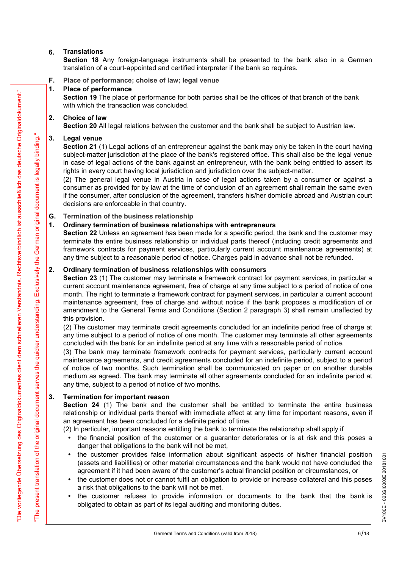### 6. Translations

Section 18 Any foreign-language instruments shall be presented to the bank also in a German translation of a court-appointed and certified interpreter if the bank so requires. **6.** Translations<br> **6.** Translations<br> **6.** Consider the Any foreign-language instruments shall be presented to translation of a court-appointed and certified interpreter if the bank so requ<br> **F.** Place of performance<br> **1.** 

F. Place of performance; choise of law; legal venue

Section 19 The place of performance for both parties shall be the offices of that branch of the bank with which the transaction was concluded.

Section 20 All legal relations between the customer and the bank shall be subject to Austrian law.

**6.** Translations<br> **6.** Translations<br> **6.** Choice of a Any foreign-language instruments shall be presented to<br>
translation of a court-appointed and certified interpreter if the bank so requ<br> **F.** Place of performance; choi **6.** Translations<br> **6.** Comparison 18 Any foreign-language instruments shall be presented to translation of a court-appointed and certified interpreter if the bank so request.<br> **F.** Place of performance choise of law; leg Section 21 (1) Legal actions of an entrepreneur against the bank may only be taken in the court having subject-matter jurisdiction at the place of the bank's registered office. This shall also be the legal venue in case of legal actions of the bank against an entrepreneur, with the bank being entitled to assert its rights in every court having local jurisdiction and jurisdiction over the subject-matter. **6.** Translation of Australian American scheme that the presented to the bank also in translation of a court-appointed and certified interpreter if the bank so requires.<br>
F. Place of performance; choise of law; legal venu

(2) The general legal venue in Austria in case of legal actions taken by a consumer or against a consumer as provided for by law at the time of conclusion of an agreement shall remain the same even if the consumer, after conclusion of the agreement, transfers his/her domicile abroad and Austrian court decisions are enforceable in that country.

G. Termination of the business relationship

Section 22 Unless an agreement has been made for a specific period, the bank and the customer may terminate the entire business relationship or individual parts thereof (including credit agreements and framework contracts for payment services, particularly current account maintenance agreements) at any time subject to a reasonable period of notice. Charges paid in advance shall not be refunded.

From the propose distribution to the particular particle is the office of that that is the contrast of the basis of the contrast of the state of the state of the state of the state of the state of the state of the state o Section 19 The place of performance for both parties shall be the offices of that branch with which the transaction was concluded.<br>
2. Choice of law<br>
Section 20 All legal relations between the customer and the bank shall b Section 23 (1) The customer may terminate a framework contract for payment services, in particular a current account maintenance agreement, free of charge at any time subject to a period of notice of one month. The right to terminate a framework contract for payment services, in particular a current account maintenance agreement, free of charge and without notice if the bank proposes a modification of or amendment to the General Terms and Conditions (Section 2 paragraph 3) shall remain unaffected by this provision. 1. Ordinary termination of business relationships with entrepreneurs<br>Section 22 Unless an agreement has been made for a specific period, the<br>firminate the entire business relationship or individual parts thereof (incl<br>fram

(2) The customer may terminate credit agreements concluded for an indefinite period free of charge at any time subject to a period of notice of one month. The customer may terminate all other agreements concluded with the bank for an indefinite period at any time with a reasonable period of notice.

(3) The bank may terminate framework contracts for payment services, particularly current account maintenance agreements, and credit agreements concluded for an indefinite period, subject to a period of notice of two months. Such termination shall be communicated on paper or on another durable medium as agreed. The bank may terminate all other agreements concluded for an indefinite period at any time, subject to a period of notice of two months.

Section 24 (1) The bank and the customer shall be entitled to terminate the entire business relationship or individual parts thereof with immediate effect at any time for important reasons, even if an agreement has been concluded for a definite period of time.

(2) In particular, important reasons entitling the bank to terminate the relationship shall apply if

- the financial position of the customer or a guarantor deteriorates or is at risk and this poses a danger that obligations to the bank will not be met,
- the customer provides false information about significant aspects of his/her financial position (assets and liabilities) or other material circumstances and the bank would not have concluded the agreement if it had been a (assets and liabilities) or other material circumstances and the bank would not have concluded the agreement if it had been aware of the customer's actual financial position or circumstances, or
- the customer does not or cannot fulfil an obligation to provide or increase collateral and this poses a risk that obligations to the bank will not be met.
- the customer refuses to provide information or documents to the bank that the bank is obligated to obtain as part of its legal auditing and monitoring duties.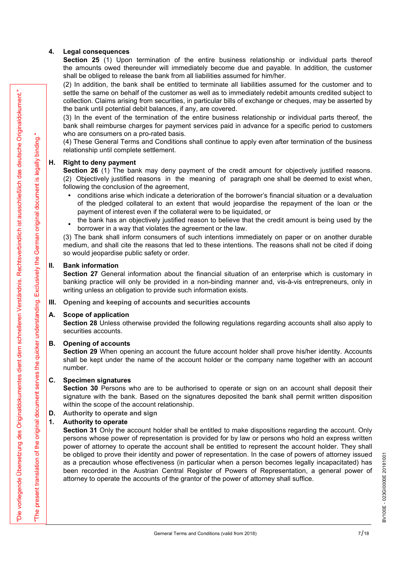4. Legal consequences<br>
Section 25 (1) Upon termination of the entire business relationship<br>
the amounts owed thereunder will immediately become due and payab<br>
shall be obliged to release the bank from all liabilities assum Section 25 (1) Upon termination of the entire business relationship or individual parts thereof the amounts owed thereunder will immediately become due and payable. In addition, the customer shall be obliged to release the bank from all liabilities assumed for him/her.

(2) In addition, the bank shall be entitled to terminate all liabilities assumed for the customer and to settle the same on behalf of the customer as well as to immediately redebit amounts credited subject to collection. Claims arising from securities, in particular bills of exchange or cheques, may be asserted by the bank until potential debit balances, if any, are covered. 4. Legal consequences<br>
Section 25 (1) Upon termination of the entire business relationship<br>
the amounts owed thereunder will immediately become due and payab<br>
shall be obliged to release the bank from all liabilities assu

(3) In the event of the termination of the entire business relationship or individual parts thereof, the bank shall reimburse charges for payment services paid in advance for a specific period to customers who are consumers on a pro-rated basis. settle the same on behalf of the customer as well as to immediately redeb<br>collection. Clains arising from securities, in particular bills of exchange or<br>the bank until potential debit balances, if any, are covered.<br>(3) In

(4) These General Terms and Conditions shall continue to apply even after termination of the business relationship until complete settlement.

Section 26 (1) The bank may deny payment of the credit amount for objectively justified reasons. (2) Objectively justified reasons in the meaning of paragraph one shall be deemed to exist when, following the conclusion of the agreement,

- conditions arise which indicate a deterioration of the borrower's financial situation or a devaluation of the pledged collateral to an extent that would jeopardise the repayment of the loan or the payment of interest even if the collateral were to be liquidated, or (4) These General Terms and Conditions shall continue to apply even after relationship until complete settlement.<br> **H. Right to deny payment** of the credit amount for<br> **Section 26 (1)** The bank may deny payment of the cre **Section 26** (1) The bank may deny payment of the credit amount for (2) Objectively justified reasons in the meaning of paragraph one show following the conclusion of the agreement,  $\cdot$  conditions arise which indicate a
	- The bank has an objectively justified reason to believe that the create amount the bank has an objectively justified reason to believe that the credit amount is being used by the

(3) The bank shall inform consumers of such intentions immediately on paper or on another durable medium, and shall cite the reasons that led to these intentions. The reasons shall not be cited if doing so would jeopardise public safety or order.

Section 27 General information about the financial situation of an enterprise which is customary in banking practice will only be provided in a non-binding manner and, vis-à-vis entrepreneurs, only in writing unless an obligation to provide such information exists.

III. Opening and keeping of accounts and securities accounts

Section 28 Unless otherwise provided the following regulations regarding accounts shall also apply to securities accounts.

Section 29 When opening an account the future account holder shall prove his/her identity. Accounts shall be kept under the name of the account holder or the company name together with an account number.

of the planged onlinedral of an extert that would jequalized the planet that we be liquidated, or<br>the bank has an objectively justified reason to believe that the redit<br>borrower in a way that violates the agreement of the Section 30 Persons who are to be authorised to operate or sign on an account shall deposit their signature with the bank. Based on the signatures deposited the bank shall permit written disposition within the scope of the account relationship.

### D. Authority to operate and sign

For the factorization in the selection is one in the investmential probabilities has the selection of the selection in the selection in the selection of the selection is a selection of the selection in the selection of th meuturi, and strate the reasons that cut to diese intentions. The reason so would jeopardise public safety or order.<br> **II.** Bank information<br>
Section 27 General information about the financial situation of an enter-<br>
banki Section 31 Only the account holder shall be entitled to make dispositions regarding the account. Only persons whose power of representation is provided for by law or persons who hold an express written power of attorney to operate the account shall be entitled to represent the account holder. They shall be obliged to prove their identity and power of representation. In the case of powers of attorney issued<br>as a precaution whose effectiveness (in particular when a person becomes legally incapacitated) has<br>been recorded in as a precaution whose effectiveness (in particular when a person becomes legally incapacitated) has been recorded in the Austrian Central Register of Powers of Representation, a general power of attorney to operate the accounts of the grantor of the power of attorney shall suffice.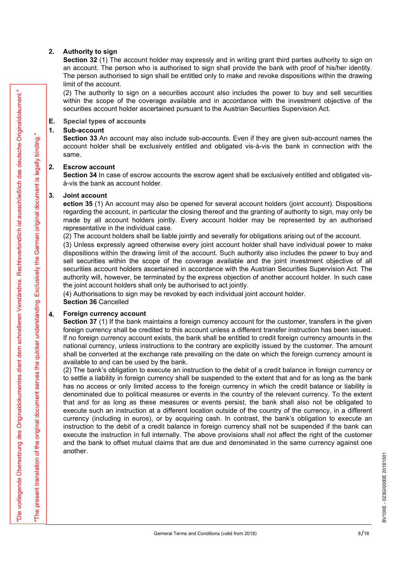2. Authority to sign<br>
Section 32 (1) The account holder may expressly and in writing grant thi<br>
an account. The person who is authorised to sign shall provide the bank<br>
The person authorised to sign shall be entitled only Section 32 (1) The account holder may expressly and in writing grant third parties authority to sign on an account. The person who is authorised to sign shall provide the bank with proof of his/her identity. The person authorised to sign shall be entitled only to make and revoke dispositions within the drawing limit of the account. 2. **Authority to sign**<br>
2. **Authority to sign**<br>
5. **Section 32** (1) The account holder may expressly and in writing grant thi<br>
an account. The person who is authorised to sign shall provide the bank<br>
The person account is 2. **Authority to sign**<br> **Section 32** (1) The account holder may expressly and in writing grant this<br>
an account. The person who is authorised to sign shall provide the bank<br>
The person authorised to sign shall be entitled

(2) The authority to sign on a securities account also includes the power to buy and sell securities within the scope of the coverage available and in accordance with the investment objective of the securities account holder ascertained pursuant to the Austrian Securities Supervision Act.

### E. Special types of accounts

Section 33 An account may also include sub-accounts. Even if they are given sub-account names the account holder shall be exclusively entitled and obligated vis-à-vis the bank in connection with the same.

Section 34 In case of escrow accounts the escrow agent shall be exclusively entitled and obligated visà-vis the bank as account holder.

2. **Authority to sign**<br> **Section 32** (1) The account holder may expressly and in writing grant thi<br>
an account. The person authorised to sign shall be entitled only to make and revoke d<br>
limit of the account.<br>
(2) The aut ection 35 (1) An account may also be opened for several account holders (joint account). Dispositions regarding the account, in particular the closing thereof and the granting of authority to sign, may only be made by all account holders jointly. Every account holder may be represented by an authorised representative in the individual case.

(2) The account holders shall be liable jointly and severally for obligations arising out of the account.

(3) Unless expressly agreed otherwise every joint account holder shall have individual power to make dispositions within the drawing limit of the account. Such authority also includes the power to buy and sell securities within the scope of the coverage available and the joint investment objective of all securities account holders ascertained in accordance with the Austrian Securities Supervision Act. The authority will, however, be terminated by the express objection of another account holder. In such case the joint account holders shall only be authorised to act jointly.

(4) Authorisations to sign may be revoked by each individual joint account holder.

Section 36 Cancelled

### 4. Foreign currency account

Section 37 (1) If the bank maintains a foreign currency account for the customer, transfers in the given foreign currency shall be credited to this account unless a different transfer instruction has been issued. If no foreign currency account exists, the bank shall be entitled to credit foreign currency amounts in the national currency, unless instructions to the contrary are explicitly issued by the customer. The amount shall be converted at the exchange rate prevailing on the date on which the foreign currency amount is available to and can be used by the bank.

2. (3) The multiply to give m a nonsitive radius are mainless than provide the process that the multiple section of the control of the section of the section of the section of the section of the section of the section of (2) The bank's obligation to execute an instruction to the debit of a credit balance in foreign currency or to settle a liability in foreign currency shall be suspended to the extent that and for as long as the bank has no access or only limited access to the foreign currency in which the credit balance or liability is denominated due to political measures or events in the country of the relevant currency. To the extent that and for as long as these measures or events persist, the bank shall also not be obligated to execute such an instruction at a different location outside of the country of the currency, in a different currency (including in euros), or by acquiring cash. In contrast, the bank's obligation to execute an instruction to the debit of a credit balance in foreign currency shall not be suspended if the bank can execute the instruction in full internally. The above provisions shall not affect the right of the customer and the bank to offset mutual claims that are due and denominated in the same currency against one another.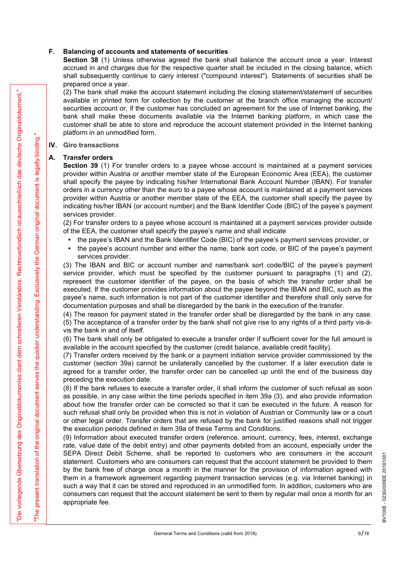F. Balancing of accounts and statements of securities<br>Section 38 (1) Unless otherwise agreed the bank shall balance the acc<br>accrued in and charges due for the respective quarter shall be included in<br>shall subsequently cont Section 38 (1) Unless otherwise agreed the bank shall balance the account once a year. Interest accrued in and charges due for the respective quarter shall be included in the closing balance, which shall subsequently continue to carry interest ("compound interest"). Statements of securities shall be prepared once a year.

(2) The bank shall make the account statement including the closing statement/statement of securities available in printed form for collection by the customer at the branch office managing the account/ securities account or, if the customer has concluded an agreement for the use of Internet banking, the bank shall make these documents available via the Internet banking platform, in which case the customer shall be able to store and reproduce the account statement provided in the Internet banking platform in an unmodified form. F. Balancing of accounts and statements of securities<br>
Section 38 (1) Unless otherwise agreed the bank shall balance the a<br>
accrued in and charges due for the respective quarter shall be included<br>
shall subsequently conti

### IV. Giro transactions

Section 39 (1) For transfer orders to a payee whose account is maintained at a payment services provider within Austria or another member state of the European Economic Area (EEA), the customer shall specify the payee by indicating his/her International Bank Account Number (IBAN). For transfer orders in a currency other than the euro to a payee whose account is maintained at a payment services provider within Austria or another member state of the EEA, the customer shall specify the payee by indicating his/her IBAN (or account number) and the Bank Identifier Code (BIC) of the payee's payment services provider.

(2) For transfer orders to a payee whose account is maintained at a payment services provider outside of the EEA, the customer shall specify the payee's name and shall indicate

- the payee's IBAN and the Bank Identifier Code (BIC) of the payee's payment services provider, or
- the payee's account number and either the name, bank sort code, or BIC of the payee's payment services provider.

(3) The IBAN and BIC or account number and name/bank sort code/BIC of the payee's payment service provider, which must be specified by the customer pursuant to paragraphs (1) and (2), represent the customer identifier of the payee, on the basis of which the transfer order shall be executed. If the customer provides information about the payee beyond the IBAN and BIC, such as the payee's name, such information is not part of the customer identifier and therefore shall only serve for documentation purposes and shall be disregarded by the bank in the execution of the transfer.

(4) The reason for payment stated in the transfer order shall be disregarded by the bank in any case. (5) The acceptance of a transfer order by the bank shall not give rise to any rights of a third party vis-àvis the bank in and of itself.

(6) The bank shall only be obligated to execute a transfer order if sufficient cover for the full amount is available in the account specified by the customer (credit balance, available credit facility).

(7) Transfer orders received by the bank or a payment initiation service provider commissioned by the customer (section 39a) cannot be unilaterally cancelled by the customer. If a later execution date is agreed for a transfer order, the transfer order can be cancelled up until the end of the business day preceding the execution date.

(8) If the bank refuses to execute a transfer order, it shall inform the customer of such refusal as soon as possible, in any case within the time periods specified in item 39a (3), and also provide information about how the transfer order can be corrected so that it can be executed in the future. A reason for such refusal shall only be provided when this is not in violation of Austrian or Community law or a court or other legal order. Transfer orders that are refused by the bank for justified reasons shall not trigger the execution periods defined in item 39a of these Terms and Conditions.

2. This based was the matter measure in the society at notice that the source present measure of the source of the matter measure of the matter measure of the matter measure of the matter measure of the matter measure of (9) Information about executed transfer orders (reference, amount, currency, fees, interest, exchange rate, value date of the debit entry) and other payments debited from an account, especially under the SEPA Direct Debit Scheme, shall be reported to customers who are consumers in the account statement. Customers who are consumers can request that the account statement be provided to them by the bank free of charge once a statement. Customers who are consumers can request that the account statement be provided to them by the bank free of charge once a month in the manner for the provision of information agreed with them in a framework agreement regarding payment transaction services (e.g. via Internet banking) in such a way that it can be stored and reproduced in an unmodified form. In addition, customers who are consumers can request that the account statement be sent to them by regular mail once a month for an appropriate fee.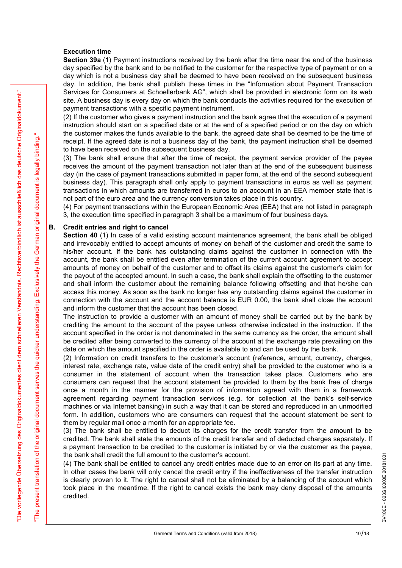### Execution time

Section 39a (1) Payment instructions received by the bank after the time near the end of the business day specified by the bank and to be notified to the customer for the respective type of payment or on a day which is not a business day shall be deemed to have been received on the subsequent business day. In addition, the bank shall publish these times in the "Information about Payment Transaction Services for Consumers at Schoellerbank AG", which shall be provided in electronic form on its web site. A business day is every day on which the bank conducts the activities required for the execution of payment transactions with a specific payment instrument. **Exection 19m** (3) Frayment instructions received by the bank after the time day specified by the bank and to be notified to the customer for the respectived by thich is not a business day shill be deemed to have been rec

(2) If the customer who gives a payment instruction and the bank agree that the execution of a payment instruction should start on a specified date or at the end of a specified period or on the day on which the customer makes the funds available to the bank, the agreed date shall be deemed to be the time of receipt. If the agreed date is not a business day of the bank, the payment instruction shall be deemed to have been received on the subsequent business day.

(3) The bank shall ensure that after the time of receipt, the payment service provider of the payee receives the amount of the payment transaction not later than at the end of the subsequent business day (in the case of payment transactions submitted in paper form, at the end of the second subsequent business day). This paragraph shall only apply to payment transactions in euros as well as payment transactions in which amounts are transferred in euros to an account in an EEA member state that is not part of the euro area and the currency conversion takes place in this country.

(4) For payment transactions within the European Economic Area (EEA) that are not listed in paragraph 3, the execution time specified in paragraph 3 shall be a maximum of four business days.

36 a second to Communite at Shockhots and A control and so provided in each of the matter of the matter of the control and so the control and so the control and so the control and so the control and so the control and so Section 40 (1) In case of a valid existing account maintenance agreement, the bank shall be obliged and irrevocably entitled to accept amounts of money on behalf of the customer and credit the same to his/her account. If the bank has outstanding claims against the customer in connection with the account, the bank shall be entitled even after termination of the current account agreement to accept amounts of money on behalf of the customer and to offset its claims against the customer's claim for the payout of the accepted amount. In such a case, the bank shall explain the offsetting to the customer and shall inform the customer about the remaining balance following offsetting and that he/she can access this money. As soon as the bank no longer has any outstanding claims against the customer in connection with the account and the account balance is EUR 0.00, the bank shall close the account and inform the customer that the account has been closed.

The instruction to provide a customer with an amount of money shall be carried out by the bank by crediting the amount to the account of the payee unless otherwise indicated in the instruction. If the account specified in the order is not denominated in the same currency as the order, the amount shall be credited after being converted to the currency of the account at the exchange rate prevailing on the date on which the amount specified in the order is available to and can be used by the bank.

(2) Information on credit transfers to the customer's account (reference, amount, currency, charges, interest rate, exchange rate, value date of the credit entry) shall be provided to the customer who is a consumer in the statement of account when the transaction takes place. Customers who are consumers can request that the account statement be provided to them by the bank free of charge once a month in the manner for the provision of information agreed with them in a framework agreement regarding payment transaction services (e.g. for collection at the bank's self-service machines or via Internet banking) in such a way that it can be stored and reproduced in an unmodified form. In addition, customers who are consumers can request that the account statement be sent to them by regular mail once a month for an appropriate fee.

(3) The bank shall be entitled to deduct its charges for the credit transfer from the amount to be credited. The bank shall state the amounts of the credit transfer and of deducted charges separately. If a payment transaction to be credited to the customer is initiated by or via the customer as the payee, the bank shall credit the full amount to the customer's account.

the bank shall credit the full amount to the customer's account.<br>
(4) The bank shall be entitled to cancel any credit entries made due to an error on its part at any time.<br>
In other cases the bank will only cancel the cre In other cases the bank will only cancel the credit entry if the ineffectiveness of the transfer instruction is clearly proven to it. The right to cancel shall not be eliminated by a balancing of the account which took place in the meantime. If the right to cancel exists the bank may deny disposal of the amounts credited.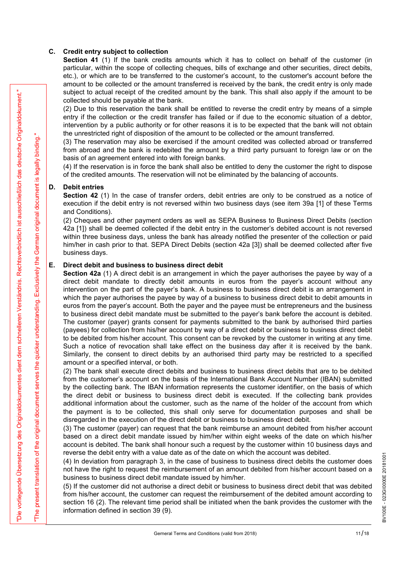C. Credit entry subject to collection<br>Section 41 (1) If the bank credits amounts which it has to collect or<br>particular, within the scope of collecting cheques, bills of exchange and of<br>etc.), or which are to be transferred Section 41 (1) If the bank credits amounts which it has to collect on behalf of the customer (in particular, within the scope of collecting cheques, bills of exchange and other securities, direct debits, etc.), or which are to be transferred to the customer's account, to the customer's account before the amount to be collected or the amount transferred is received by the bank, the credit entry is only made subject to actual receipt of the credited amount by the bank. This shall also apply if the amount to be collected should be payable at the bank. C. Credit entry subject to collection<br>Section 41 (1) if the bank credits amounts which it has to collect or<br>particular, within the scope of collecting cheques, bills of exchange and<br>etc.), or which are to be transferred t

(2) Due to this reservation the bank shall be entitled to reverse the credit entry by means of a simple entry if the collection or the credit transfer has failed or if due to the economic situation of a debtor, intervention by a public authority or for other reasons it is to be expected that the bank will not obtain the unrestricted right of disposition of the amount to be collected or the amount transferred.

(3) The reservation may also be exercised if the amount credited was collected abroad or transferred from abroad and the bank is redebited the amount by a third party pursuant to foreign law or on the basis of an agreement entered into with foreign banks.

(4) If the reservation is in force the bank shall also be entitled to deny the customer the right to dispose of the credited amounts. The reservation will not be eliminated by the balancing of accounts.

Section 42 (1) In the case of transfer orders, debit entries are only to be construed as a notice of execution if the debit entry is not reversed within two business days (see item 39a [1] of these Terms and Conditions).

(2) Cheques and other payment orders as well as SEPA Business to Business Direct Debits (section 42a [1]) shall be deemed collected if the debit entry in the customer's debited account is not reversed within three business days, unless the bank has already notified the presenter of the collection or paid him/her in cash prior to that. SEPA Direct Debits (section 42a [3]) shall be deemed collected after five business days. subject to actual receipt of the credited amount by the bank. This shall a collected should be payable at the bank.<br>
(2) Due to this reservation the bank shall be entitled to reverse the cred<br>
entry if the collection or t

Assume to exact a context of a crossing moment by the static line was the species of the static static static static static static static static static static static static static static static static static static stati Section 42a (1) A direct debit is an arrangement in which the payer authorises the payee by way of a direct debit mandate to directly debit amounts in euros from the payer's account without any intervention on the part of the payer's bank. A business to business direct debit is an arrangement in which the payer authorises the payee by way of a business to business direct debit to debit amounts in euros from the payer's account. Both the payer and the payee must be entrepreneurs and the business to business direct debit mandate must be submitted to the payer's bank before the account is debited. The customer (payer) grants consent for payments submitted to the bank by authorised third parties (payees) for collection from his/her account by way of a direct debit or business to business direct debit to be debited from his/her account. This consent can be revoked by the customer in writing at any time. Such a notice of revocation shall take effect on the business day after it is received by the bank. Similarly, the consent to direct debits by an authorised third party may be restricted to a specified amount or a specified interval, or both.

(2) The bank shall execute direct debits and business to business direct debits that are to be debited from the customer's account on the basis of the International Bank Account Number (IBAN) submitted by the collecting bank. The IBAN information represents the customer identifier, on the basis of which the direct debit or business to business direct debit is executed. If the collecting bank provides additional information about the customer, such as the name of the holder of the account from which the payment is to be collected, this shall only serve for documentation purposes and shall be disregarded in the execution of the direct debit or business to business direct debit.

(3) The customer (payer) can request that the bank reimburse an amount debited from his/her account based on a direct debit mandate issued by him/her within eight weeks of the date on which his/her account is debited. The bank shall honour such a request by the customer within 10 business days and

(4) In deviation from paragraph 3, in the case of business to business direct debits the customer does not have the right to request the reimbursement of an amount debited from his/her account based on a business to business direct debit mandate issued by him/her.

reverse the debit entry with a value date as of the date on which the account was debited.<br>
(4) In deviation from paragraph 3, in the case of business to business direct debits the customer does<br>
not have the right to req (5) If the customer did not authorise a direct debit or business to business direct debit that was debited from his/her account, the customer can request the reimbursement of the debited amount according to section 16 (2). The relevant time period shall be initiated when the bank provides the customer with the information defined in section 39 (9).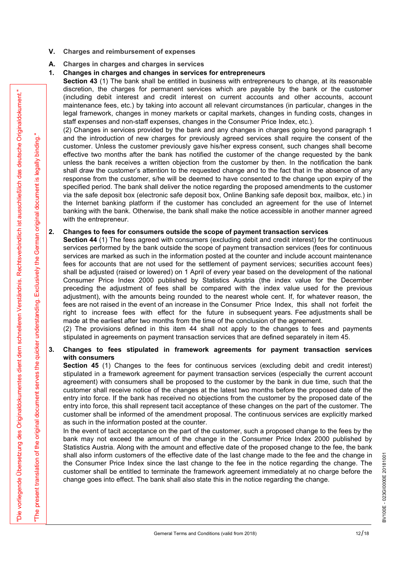- V. Charges and reimbursement of expenses
- A. Charges in charges and charges in services

**V.** Charges and reimbursement of expenses<br> **A.** Charges in charges and charges in services<br> **1.** Changes in charges and changes in services for entrepreneurs<br> **Section 43** (1) The bank shall be entitled in business with e Section 43 (1) The bank shall be entitled in business with entrepreneurs to change, at its reasonable discretion, the charges for permanent services which are payable by the bank or the customer (including debit interest and credit interest on current accounts and other accounts, account maintenance fees, etc.) by taking into account all relevant circumstances (in particular, changes in the legal framework, changes in money markets or capital markets, changes in funding costs, changes in staff expenses and non-staff expenses, changes in the Consumer Price Index, etc.).

From the set interest in the centre of the set in course is the centre interest of the second interest interest in the second interest in the second interest in the second interest in the second interest in the second in (2) Changes in services provided by the bank and any changes in charges going beyond paragraph 1 and the introduction of new charges for previously agreed services shall require the consent of the customer. Unless the customer previously gave his/her express consent, such changes shall become effective two months after the bank has notified the customer of the change requested by the bank unless the bank receives a written objection from the customer by then. In the notification the bank shall draw the customer's attention to the requested change and to the fact that in the absence of any response from the customer, s/he will be deemed to have consented to the change upon expiry of the specified period. The bank shall deliver the notice regarding the proposed amendments to the customer via the safe deposit box (electronic safe deposit box, Online Banking safe deposit box, mailbox, etc.) in the Internet banking platform if the customer has concluded an agreement for the use of Internet banking with the bank. Otherwise, the bank shall make the notice accessible in another manner agreed with the entrepreneur. A. Charges in charges and charges in services<br>
2. Changes in charges and changes in services for entrepreneurs to change, at its reasonable<br>
Section 43 (1) The bank shall be entitled in business with entrepreneurs to chan

Section 44 (1) The fees agreed with consumers (excluding debit and credit interest) for the continuous services performed by the bank outside the scope of payment transaction services (fees for continuous services are marked as such in the information posted at the counter and include account maintenance fees for accounts that are not used for the settlement of payment services; securities account fees) shall be adjusted (raised or lowered) on 1 April of every year based on the development of the national Consumer Price Index 2000 published by Statistics Austria (the index value for the December preceding the adjustment of fees shall be compared with the index value used for the previous adjustment), with the amounts being rounded to the nearest whole cent. If, for whatever reason, the fees are not raised in the event of an increase in the Consumer Price Index, this shall not forfeit the right to increase fees with effect for the future in subsequent years. Fee adjustments shall be made at the earliest after two months from the time of the conclusion of the agreement. response from the customer, s/he will be deemed to have consented to the change upon expiry of the<br>specified period. The bank shall deliver the notice regarding the proposed amendments to the customer<br>via the state deposit

(2) The provisions defined in this item 44 shall not apply to the changes to fees and payments stipulated in agreements on payment transaction services that are defined separately in item 45.

# with consumers

Section 45 (1) Changes to the fees for continuous services (excluding debit and credit interest) stipulated in a framework agreement for payment transaction services (especially the current account agreement) with consumers shall be proposed to the customer by the bank in due time, such that the customer shall receive notice of the changes at the latest two months before the proposed date of the entry into force. If the bank has received no objections from the customer by the proposed date of the entry into force, this shall represent tacit acceptance of these changes on the part of the customer. The customer shall be informed of the amendment proposal. The continuous services are explicitly marked as such in the information posted at the counter.

In the event of tacit acceptance on the part of the customer, such a proposed change to the fees by the bank may not exceed the amount of the change in the Consumer Price Index 2000 published by Statistics Austria. Along with the amount and effective date of the proposed change to the fee, the bank shall also inform customers of the effective date of the last change made to the fee and the change in<br>the Consumer Price Index since the last change to the fee in the notice regarding the change. The<br>customer shall be en the Consumer Price Index since the last change to the fee in the notice regarding the change. The customer shall be entitled to terminate the framework agreement immediately at no charge before the change goes into effect. The bank shall also state this in the notice regarding the change.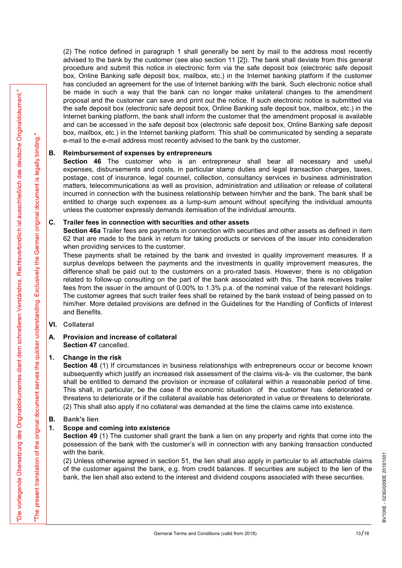(2) The notice defined in paragraph 1 shall generally be sent by mail to the address most recently advised to the bank by the customer (see also section 11 [2]). The bank shall deviate from this general procedure and submit this notice in electronic form via the safe deposit box (electronic safe deposit box, Online Banking safe deposit box, mailbox, etc.) in the Internet banking platform if the customer has concluded an agreement for the use of Internet banking with the bank. Such electronic notice shall be made in such a way that the bank can no longer make unilateral changes to the amendment proposal and the customer can save and print out the notice. If such electronic notice is submitted via the safe deposit box (electronic safe deposit box, Online Banking safe deposit box, mailbox, etc.) in the Internet banking platform, the bank shall inform the customer that the amendment proposal is available and can be accessed in the safe deposit box (electronic safe deposit box, Online Banking safe deposit box, mailbox, etc.) in the Internet banking platform. This shall be communicated by sending a separate e-mail to the e-mail address most recently advised to the bank by the customer. (2) The notice defined in paragraph 1 shall generally be sent by mail advised to the bank by the customer (see also section 11 [2]). The bank spected are grown of the safe deposition, Online Banking safe deposit box, mail (2) The notice defined in paragraph 1 shall generally be sent by mail to the activised to the bank shall devi here. also section 11[2]). The bank shall devi box, Online Banking safe deposit box, mailbox, etc.) in the Inte

Section 46 The customer who is an entrepreneur shall bear all necessary and useful expenses, disbursements and costs, in particular stamp duties and legal transaction charges, taxes, postage, cost of insurance, legal counsel, collection, consultancy services in business administration matters, telecommunications as well as provision, administration and utilisation or release of collateral incurred in connection with the business relationship between him/her and the bank. The bank shall be entitled to charge such expenses as a lump-sum amount without specifying the individual amounts unless the customer expressly demands itemisation of the individual amounts.

Section 46a Trailer fees are payments in connection with securities and other assets as defined in item 62 that are made to the bank in return for taking products or services of the issuer into consideration when providing services to the customer.

26 and its first that way that the based and its first the based and analyze the state is a model in the state of the state of the state of the state of the state of the state of the state of the state of the state of the These payments shall be retained by the bank and invested in quality improvement measures. If a surplus develops between the payments and the investments in quality improvement measures, the difference shall be paid out to the customers on a pro-rated basis. However, there is no obligation related to follow-up consulting on the part of the bank associated with this. The bank receives trailer fees from the issuer in the amount of 0.00% to 1.3% p.a. of the nominal value of the relevant holdings. The customer agrees that such trailer fees shall be retained by the bank instead of being passed on to him/her. More detailed provisions are defined in the Guidelines for the Handling of Conflicts of Interest and Benefits. Section 46 In customer who is an entrepreneur shall bear<br>expenses, disbursements and costs, in particular stamp dities and legs<br>postage, cost of insurance, legal counsel, collection, consultancy service<br>matters, telecommu matters, telecommunications as well as provision, administration and utilincurred in connection with the business relationship between him/her anno-<br>tritied to change such expenses as a lump-sum amount without speculess th These payments shall be retained by the bank and invested in quality<br>surplus develops between the payments and the investments in quality<br>surplus difference shall be paid out to the customers on a pro-rated basis. Ho<br>relat

### VI. Collateral

## Section 47 cancelled.

Section 48 (1) If circumstances in business relationships with entrepreneurs occur or become known subsequently which justify an increased risk assessment of the claims vis-à- vis the customer, the bank shall be entitled to demand the provision or increase of collateral within a reasonable period of time. This shall, in particular, be the case if the economic situation of the customer has deteriorated or threatens to deteriorate or if the collateral available has deteriorated in value or threatens to deteriorate. (2) This shall also apply if no collateral was demanded at the time the claims came into existence.

### B. Bank's lien

Section 49 (1) The customer shall grant the bank a lien on any property and rights that come into the possession of the bank with the customer's will in connection with any banking transaction conducted with the bank.

(2) Unless otherwise agreed in section 51, the lien shall also apply in particular to all attachable claims of the customer against the bank, e.g. from credit balances. If securities are subject to the lien of the  $\frac{5}{8$ of the customer against the bank, e.g. from credit balances. If securities are subject to the lien of the bank, the lien shall also extend to the interest and dividend coupons associated with these securities.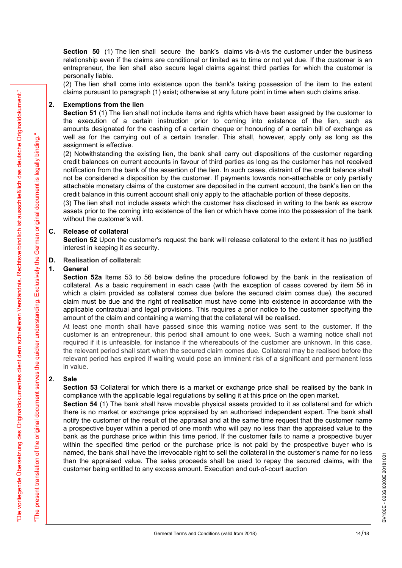Section 50 (1) The lien shall secure the bank's claims vis-à-vis the customer under the business relationship even if the claims are conditional or limited as to time or not yet due. If the customer is an entrepreneur, the lien shall also secure legal claims against third parties for which the customer is personally liable.

(2) The lien shall come into existence upon the bank's taking possession of the item to the extent claims pursuant to paragraph (1) exist; otherwise at any future point in time when such claims arise.

**Section 50** (1) The lien shall secure the bank's claims vis-à-vis the relationship even if the claims are conditional or limited as to time or not entrepreneur, the lien shall also secure legal claims against third parti Section 51 (1) The lien shall not include items and rights which have been assigned by the customer to the execution of a certain instruction prior to coming into existence of the lien, such as amounts designated for the cashing of a certain cheque or honouring of a certain bill of exchange as well as for the carrying out of a certain transfer. This shall, however, apply only as long as the assignment is effective.

(2) Notwithstanding the existing lien, the bank shall carry out dispositions of the customer regarding credit balances on current accounts in favour of third parties as long as the customer has not received notification from the bank of the assertion of the lien. In such cases, distraint of the credit balance shall not be considered a disposition by the customer. If payments towards non-attachable or only partially attachable monetary claims of the customer are deposited in the current account, the bank's lien on the credit balance in this current account shall only apply to the attachable portion of these deposits. relationship even if the claims are conditional or limited as to time or not<br>entrepreneur, the lien shall also secure legal claims against third partie<br>personally liable.<br>(2) The lien shall come into existence upon the ba Calius pursuant to paragraph (1) exist, otherwise at any luttue point in this<br> **Exercitor 51** (1) The lien shall not include items and rights which have been<br>
the execution of a certain instruction prior to coming into ex

(3) The lien shall not include assets which the customer has disclosed in writing to the bank as escrow assets prior to the coming into existence of the lien or which have come into the possession of the bank without the customer's will.

Section 52 Upon the customer's request the bank will release collateral to the extent it has no justified interest in keeping it as security.

### D. Realisation of collateral:

Section 52a Items 53 to 56 below define the procedure followed by the bank in the realisation of collateral. As a basic requirement in each case (with the exception of cases covered by item 56 in which a claim provided as collateral comes due before the secured claim comes due), the secured claim must be due and the right of realisation must have come into existence in accordance with the applicable contractual and legal provisions. This requires a prior notice to the customer specifying the amount of the claim and containing a warning that the collateral will be realised.

At least one month shall have passed since this warning notice was sent to the customer. If the customer is an entrepreneur, this period shall amount to one week. Such a warning notice shall not required if it is unfeasible, for instance if the whereabouts of the customer are unknown. In this case, the relevant period shall start when the secured claim comes due. Collateral may be realised before the relevant period has expired if waiting would pose an imminent risk of a significant and permanent loss in value. (3) The lien shall not include assess which the customer has discosed in<br>assets prior to the coming into existence of the lien or which have come in<br>without the customer's will.<br>**C.** Release of collateral<br>section 52 Upon t

Section 53 Collateral for which there is a market or exchange price shall be realised by the bank in compliance with the applicable legal regulations by selling it at this price on the open market.

Since purchast to pension of the state of the visible pair and the since the state in the state and the state in the state in the state in the state of the state of the state of the state of the state of the state of the Section 54 (1) The bank shall have movable physical assets provided to it as collateral and for which there is no market or exchange price appraised by an authorised independent expert. The bank shall notify the customer of the result of the appraisal and at the same time request that the customer name a prospective buyer within a period of one month who will pay no less than the appraised value to the bank as the purchase price within this time period. If the customer fails to name a prospective buyer within the specified time period or the purchase price is not paid by the prospective buyer who is named, the bank shall have the irrevocable right to sell the collateral in the customer's name for no less<br>than the appraised value. The sales proceeds shall be used to repay the secured claims, with the<br>customer being ent than the appraised value. The sales proceeds shall be used to repay the secured claims, with the customer being entitled to any excess amount. Execution and out-of-court auction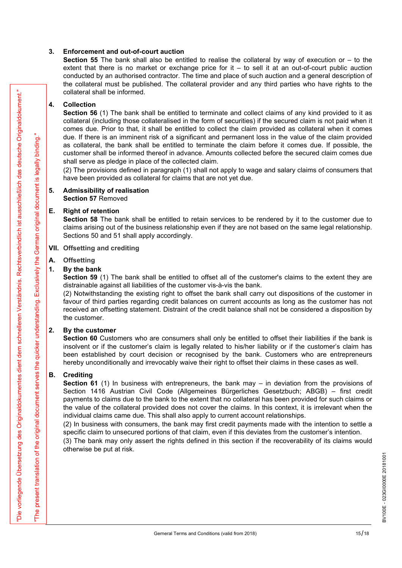3. **Enforcement and out-of-court auction**<br> **Section 55** The bank shall also be entitled to realise the collateral by extent that there is no market or exchange price for it  $-$  to sell it at a conducted by an authorised c **Section 55** The bank shall also be entitled to realise the collateral by way of execution or  $-$  to the extent that there is no market or exchange price for it – to sell it at an out-of-court public auction conducted by an authorised contractor. The time and place of such auction and a general description of the collateral must be published. The collateral provider and any third parties who have rights to the collateral shall be informed.

Solutional sink from the set of the best state of the best state in the set of the set of the set of the set of the set of the set of the set of the set of the set of the set of the set of the set of the set of the set of 3. **Enforcement and out-of-court auction**<br>
Section 55 The bank shall also be entitled to realise the collateral by<br>
extent that there is no market or exchange price for it  $-$  to sell it at a<br>
conducted by an authorised c Section 56 (1) The bank shall be entitled to terminate and collect claims of any kind provided to it as collateral (including those collateralised in the form of securities) if the secured claim is not paid when it comes due. Prior to that, it shall be entitled to collect the claim provided as collateral when it comes due. If there is an imminent risk of a significant and permanent loss in the value of the claim provided as collateral, the bank shall be entitled to terminate the claim before it comes due. If possible, the customer shall be informed thereof in advance. Amounts collected before the secured claim comes due shall serve as pledge in place of the collected claim. 3. **Enforcement and out-of-court auction**<br>
Section 55 The bank shall also be entitied to realise the collateral by<br>
extent that there is no market or exchange price for it  $-$  to sell it at a<br>
conducted by an authorised c 3. **Enforcement and out-of-court auction**<br> **Section 55** The bank shall also be entitled to realise the collateral by<br>
extent that there is no market or exchange price for it  $-$  to sell it at a<br>
conducted by an authorised Collection 56 (1) The bank shall be entitled to terminate and collect claims<br>
Section 56 (1) The bank shall be entitled to terminate and collect claims<br>
collecteral (including those collateralised in the form of securities

(2) The provisions defined in paragraph (1) shall not apply to wage and salary claims of consumers that have been provided as collateral for claims that are not yet due.

## Section 57 Removed

Section 58 The bank shall be entitled to retain services to be rendered by it to the customer due to claims arising out of the business relationship even if they are not based on the same legal relationship. Sections 50 and 51 shall apply accordingly.

### VII. Offsetting and crediting

### A. Offsetting

Section 59 (1) The bank shall be entitled to offset all of the customer's claims to the extent they are distrainable against all liabilities of the customer vis-à-vis the bank.

(2) Notwithstanding the existing right to offset the bank shall carry out dispositions of the customer in favour of third parties regarding credit balances on current accounts as long as the customer has not received an offsetting statement. Distraint of the credit balance shall not be considered a disposition by the customer.

customer since the culture unero in avantose. Amounts conected before shall serve as pledge in place of the collected claim.<br>
(2) The provisions defined in paragraph (1) shall not apply to wage and sa<br>
have been provided a Section 60 Customers who are consumers shall only be entitled to offset their liabilities if the bank is insolvent or if the customer's claim is legally related to his/her liability or if the customer's claim has been established by court decision or recognised by the bank. Customers who are entrepreneurs hereby unconditionally and irrevocably waive their right to offset their claims in these cases as well.

Section 57 Removed<br>
E. Right of retention<br>
Section 58 The bank shall be entitled to retain services to be rendered<br>
claims arising out of the business relationship even if they are not based of<br>
Sections 50 and 51 shall ap Section 61 (1) In business with entrepreneurs, the bank may – in deviation from the provisions of Section 1416 Austrian Civil Code (Allgemeines Bürgerliches Gesetzbuch; ABGB) – first credit payments to claims due to the bank to the extent that no collateral has been provided for such claims or the value of the collateral provided does not cover the claims. In this context, it is irrelevant when the individual claims came due. This shall also apply to current account relationships.

(2) In business with consumers, the bank may first credit payments made with the intention to settle a specific claim to unsecured portions of that claim, even if this deviates from the customer's intention.

(3) The bank may only assert the rights defined in this section if the recoverability of its claims would otherwise be put at risk.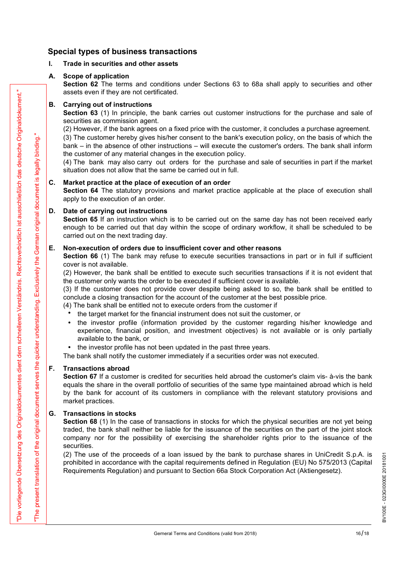### Special types of business transactions

Special types of business transactions<br>
I. Trade in securities and other assets<br>
A. Scope of application<br>
Section 62 The terms and conditions under Sections 63 to 68a shall apply<br>
assets even if they are not certificated.<br> Special types of business transactions<br>
1. Trade in securities and other assets<br>
A. Scope of application<br>
Section 62 The terms and conditions under Sections 63 to 68a shall<br>
assets even if they are not certificated.<br>
B. Ca Section 62 The terms and conditions under Sections 63 to 68a shall apply to securities and other assets even if they are not certificated. Special types of business transactions<br>
1. Trade in securities and other assets<br>
A. Scope of application<br>
Section 62 The terms and conditions under Sections 63 to 68a shall<br>
assets even if they are not certificated.<br>
B. C

Section 63 (1) In principle, the bank carries out customer instructions for the purchase and sale of securities as commission agent.

(2) However, if the bank agrees on a fixed price with the customer, it concludes a purchase agreement.

(3) The customer hereby gives his/her consent to the bank's execution policy, on the basis of which the bank – in the absence of other instructions – will execute the customer's orders. The bank shall inform the customer of any material changes in the execution policy. **Special types of business transactions**<br>
1. Trade in securities and other assets<br>
A. Scope of application<br>
Section 62 The terms and conditions under Sections 63 to 68a shall ap<br>
assets even if they are not certificated.<br>

(4) The bank may also carry out orders for the purchase and sale of securities in part if the market situation does not allow that the same be carried out in full.

Section 64 The statutory provisions and market practice applicable at the place of execution shall apply to the execution of an order.

**Special types of business transactions**<br>
1. Trade in securities and other assets<br>
A. Scope of application<br>
Section 62 The terms and conditions under Sections 63 to 68a shall<br>
assets even if they are not certificated.<br> **B** Section 65 If an instruction which is to be carried out on the same day has not been received early enough to be carried out that day within the scope of ordinary workflow, it shall be scheduled to be carried out on the next trading day. **A.** Scope of application Section 62 The terms and conditions under Sections 63 to 68a shall apply to securities assets even if they are not certificated.<br> **B.** Carrying out of instructions Section 63 (1) in principle, th

Section 66 (1) The bank may refuse to execute securities transactions in part or in full if sufficient cover is not available.

(2) However, the bank shall be entitled to execute such securities transactions if it is not evident that the customer only wants the order to be executed if sufficient cover is available.

(3) If the customer does not provide cover despite being asked to so, the bank shall be entitled to conclude a closing transaction for the account of the customer at the best possible price.

- (4) The bank shall be entitled not to execute orders from the customer if
	- the target market for the financial instrument does not suit the customer, or
	- the investor profile (information provided by the customer regarding his/her knowledge and experience, financial position, and investment objectives) is not available or is only partially available to the bank, or
	- the investor profile has not been updated in the past three years.

The bank shall notify the customer immediately if a securities order was not executed.

**E.** Documentary interest in the value of the execution of an order.<br> **D.** Date of carrying out instructions Section 65 If an instruction which is to be carried out on the same day enough to be carried out to that day with Section 67 If a customer is credited for securities held abroad the customer's claim vis- à-vis the bank equals the share in the overall portfolio of securities of the same type maintained abroad which is held by the bank for account of its customers in compliance with the relevant statutory provisions and market practices.

See two three pairs of the periodic state.<br> **Example pair of interactions** he contribute to the contribute of the periodic state of the periodic state of the periodic state of the periodic state of the periodic state of t E.<br>
E. **No-excettion 66 orders due to insufficient cover and other reasons**<br> **Section 66 (1)** The bank may refuse to execute securities transactions<br>
cover is not available.<br>
(2) However, the bank shall be entitled to exe Section 68 (1) In the case of transactions in stocks for which the physical securities are not yet being traded, the bank shall neither be liable for the issuance of the securities on the part of the joint stock company nor for the possibility of exercising the shareholder rights prior to the issuance of the securities.

(2) The use of the proceeds of a loan issued by the bank to purchase shares in UniCredit S.p.A. is<br>prohibited in accordance with the capital requirements defined in Regulation (EU) No 575/2013 (Capital  $\frac{25}{36}$ <br>Require prohibited in accordance with the capital requirements defined in Regulation (EU) No 575/2013 (Capital Requirements Regulation) and pursuant to Section 66a Stock Corporation Act (Aktiengesetz).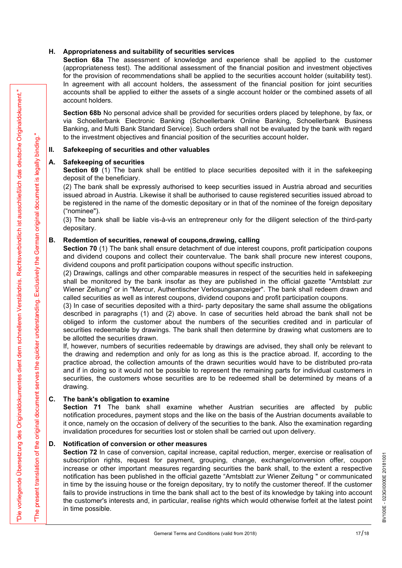H. Appropriateness and suitability of securities services<br>Section 68a The assessment of knowledge and experience shall be a<br>(appropriateness test). The additional assessment of the financial position a<br>for the provision of Section 68a The assessment of knowledge and experience shall be applied to the customer (appropriateness test). The additional assessment of the financial position and investment objectives for the provision of recommendations shall be applied to the securities account holder (suitability test). In agreement with all account holders, the assessment of the financial position for joint securities accounts shall be applied to either the assets of a single account holder or the combined assets of all account holders. **H.** Appropriateness and suitability of securities services<br>
Section 68a The assessment of knowledge and experience shall tappropriateness test). The additional assessment of the financial position to the provision of rec **H.** Appropriateness and suitability of securities services<br>
Section 68a The assessment of knowledge and experience shall tip<br>
(appropriateness test). The additional assessment of the financial positi<br>
for the provision o (appropriateness test). The additional assessment of the financial position and inver<br>for the provision of recommendations shall be applied to the securities account holders<br>in agreement with all account holders, the asses

Section 68b No personal advice shall be provided for securities orders placed by telephone, by fax, or via Schoellerbank Electronic Banking (Schoellerbank Online Banking, Schoellerbank Business Banking, and Multi Bank Standard Service). Such orders shall not be evaluated by the bank with regard to the investment objectives and financial position of the securities account holder.

Section 69 (1) The bank shall be entitled to place securities deposited with it in the safekeeping deposit of the beneficiary.

(2) The bank shall be expressly authorised to keep securities issued in Austria abroad and securities issued abroad in Austria. Likewise it shall be authorised to cause registered securities issued abroad to be registered in the name of the domestic depositary or in that of the nominee of the foreign depositary ("nominee").

(3) The bank shall be liable vis-à-vis an entrepreneur only for the diligent selection of the third-party depositary.

Section 70 (1) The bank shall ensure detachment of due interest coupons, profit participation coupons and dividend coupons and collect their countervalue. The bank shall procure new interest coupons, dividend coupons and profit participation coupons without specific instruction.

(2) Drawings, callings and other comparable measures in respect of the securities held in safekeeping shall be monitored by the bank insofar as they are published in the official gazette "Amtsblatt zur Wiener Zeitung" or in "Mercur, Authentischer Verlosungsanzeiger". The bank shall redeem drawn and called securities as well as interest coupons, dividend coupons and profit participation coupons.

(3) In case of securities deposited with a third- party depositary the same shall assume the obligations described in paragraphs (1) and (2) above. In case of securities held abroad the bank shall not be obliged to inform the customer about the numbers of the securities credited and in particular of securities redeemable by drawings. The bank shall then determine by drawing what customers are to be allotted the securities drawn.

If, however, numbers of securities redeemable by drawings are advised, they shall only be relevant to the drawing and redemption and only for as long as this is the practice abroad. If, according to the practice abroad, the collection amounts of the drawn securities would have to be distributed pro-rata and if in doing so it would not be possible to represent the remaining parts for individual customers in securities, the customers whose securities are to be redeemed shall be determined by means of a drawing. B. Redemtion of securities, renewal of coupons, drawing, calling<br>Second 70 (1) The bank shall ensure detachment of due interest coupon<br>and dividend coupons and collect their countervalue. The bank shall providend coupons (2) Drawings, callings and other comparable measures in respect of the shall be monitored by the bank insofar as they are published in the called securities as well as interest coupons, dividend coupons and profit (3) In

Section 71 The bank shall examine whether Austrian securities are affected by public notification procedures, payment stops and the like on the basis of the Austrian documents available to it once, namely on the occasion of delivery of the securities to the bank. Also the examination regarding invalidation procedures for securities lost or stolen shall be carried out upon delivery.

From the the system of the form of the system of a straigh oscietation for the contents and the system of the system of the system of the contents are a system of the system of the system of the system of the system of th **Section 72** In case of conversion, capital increase, capital reduction, merger, exercise or realisation of subscription rights, request for payment, grouping, change, exchange/conversion offer, coupon increase or other i subscription rights, request for payment, grouping, change, exchange/conversion offer, coupon increase or other important measures regarding securities the bank shall, to the extent a respective notification has been published in the official gazette "Amtsblatt zur Wiener Zeitung " or communicated in time by the issuing house or the foreign depositary, try to notify the customer thereof. If the customer fails to provide instructions in time the bank shall act to the best of its knowledge by taking into account the customer's interests and, in particular, realise rights which would otherwise forfeit at the latest point in time possible.